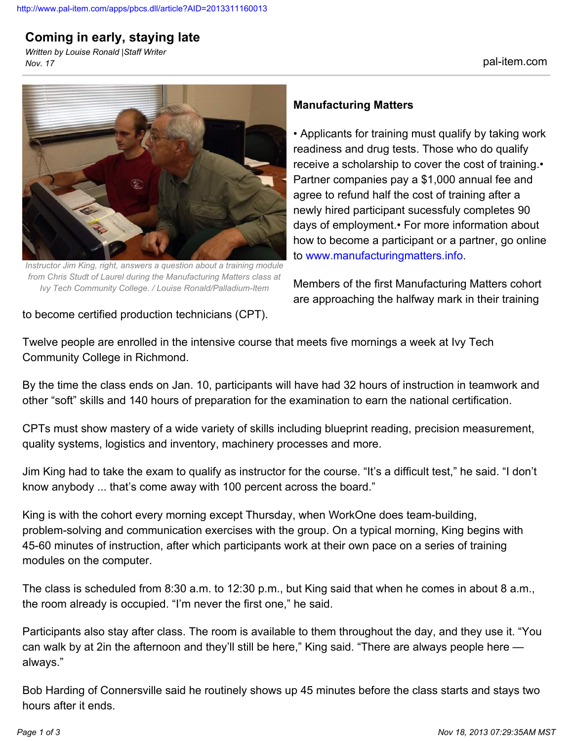## **Coming in early, staying late**

*Written by Louise Ronald |Staff Writer Nov. 17* pal-item.com



*Instructor Jim King, right, answers a question about a training module from Chris Studt of Laurel during the Manufacturing Matters class at Ivy Tech Community College. / Louise Ronald/Palladium-Item*

## **Manufacturing Matters**

• Applicants for training must qualify by taking work readiness and drug tests. Those who do qualify receive a scholarship to cover the cost of training.• Partner companies pay a \$1,000 annual fee and agree to refund half the cost of training after a newly hired participant sucessfuly completes 90 days of employment.• For more information about how to become a participant or a partner, go online to [www.manufacturingmatters.info.](http://www.manufacturingmatters.info)

Members of the first Manufacturing Matters cohort are approaching the halfway mark in their training

to become certified production technicians (CPT).

Twelve people are enrolled in the intensive course that meets five mornings a week at Ivy Tech Community College in Richmond.

By the time the class ends on Jan. 10, participants will have had 32 hours of instruction in teamwork and other "soft" skills and 140 hours of preparation for the examination to earn the national certification.

CPTs must show mastery of a wide variety of skills including blueprint reading, precision measurement, quality systems, logistics and inventory, machinery processes and more.

Jim King had to take the exam to qualify as instructor for the course. "It's a difficult test," he said. "I don't know anybody ... that's come away with 100 percent across the board."

King is with the cohort every morning except Thursday, when WorkOne does team-building, problem-solving and communication exercises with the group. On a typical morning, King begins with 45-60 minutes of instruction, after which participants work at their own pace on a series of training modules on the computer.

The class is scheduled from 8:30 a.m. to 12:30 p.m., but King said that when he comes in about 8 a.m., the room already is occupied. "I'm never the first one," he said.

Participants also stay after class. The room is available to them throughout the day, and they use it. "You can walk by at 2in the afternoon and they'll still be here," King said. "There are always people here always."

Bob Harding of Connersville said he routinely shows up 45 minutes before the class starts and stays two hours after it ends.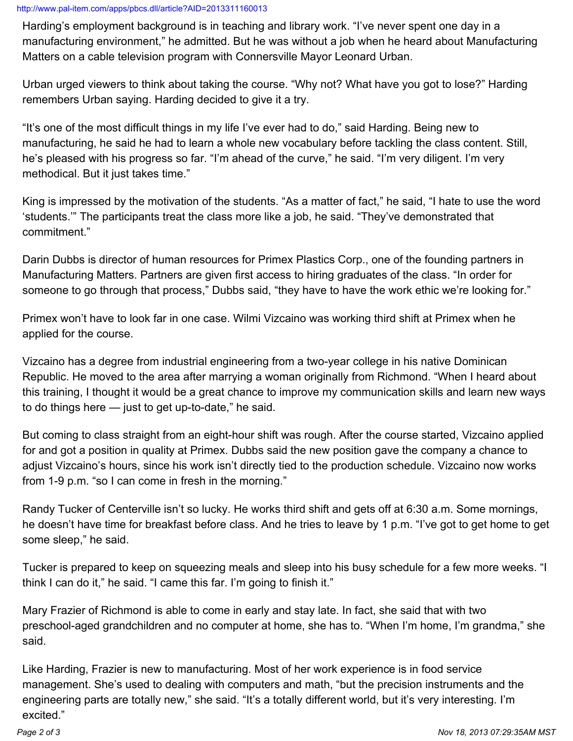## <http://www.pal-item.com/apps/pbcs.dll/article?AID=2013311160013>

Harding's employment background is in teaching and library work. "I've never spent one day in a manufacturing environment," he admitted. But he was without a job when he heard about Manufacturing Matters on a cable television program with Connersville Mayor Leonard Urban.

Urban urged viewers to think about taking the course. "Why not? What have you got to lose?" Harding remembers Urban saying. Harding decided to give it a try.

"It's one of the most difficult things in my life I've ever had to do," said Harding. Being new to manufacturing, he said he had to learn a whole new vocabulary before tackling the class content. Still, he's pleased with his progress so far. "I'm ahead of the curve," he said. "I'm very diligent. I'm very methodical. But it just takes time."

King is impressed by the motivation of the students. "As a matter of fact," he said, "I hate to use the word 'students.'" The participants treat the class more like a job, he said. "They've demonstrated that commitment."

Darin Dubbs is director of human resources for Primex Plastics Corp., one of the founding partners in Manufacturing Matters. Partners are given first access to hiring graduates of the class. "In order for someone to go through that process," Dubbs said, "they have to have the work ethic we're looking for."

Primex won't have to look far in one case. Wilmi Vizcaino was working third shift at Primex when he applied for the course.

Vizcaino has a degree from industrial engineering from a two-year college in his native Dominican Republic. He moved to the area after marrying a woman originally from Richmond. "When I heard about this training, I thought it would be a great chance to improve my communication skills and learn new ways to do things here — just to get up-to-date," he said.

But coming to class straight from an eight-hour shift was rough. After the course started, Vizcaino applied for and got a position in quality at Primex. Dubbs said the new position gave the company a chance to adjust Vizcaino's hours, since his work isn't directly tied to the production schedule. Vizcaino now works from 1-9 p.m. "so I can come in fresh in the morning."

Randy Tucker of Centerville isn't so lucky. He works third shift and gets off at 6:30 a.m. Some mornings, he doesn't have time for breakfast before class. And he tries to leave by 1 p.m. "I've got to get home to get some sleep," he said.

Tucker is prepared to keep on squeezing meals and sleep into his busy schedule for a few more weeks. "I think I can do it," he said. "I came this far. I'm going to finish it."

Mary Frazier of Richmond is able to come in early and stay late. In fact, she said that with two preschool-aged grandchildren and no computer at home, she has to. "When I'm home, I'm grandma," she said.

Like Harding, Frazier is new to manufacturing. Most of her work experience is in food service management. She's used to dealing with computers and math, "but the precision instruments and the engineering parts are totally new," she said. "It's a totally different world, but it's very interesting. I'm excited."